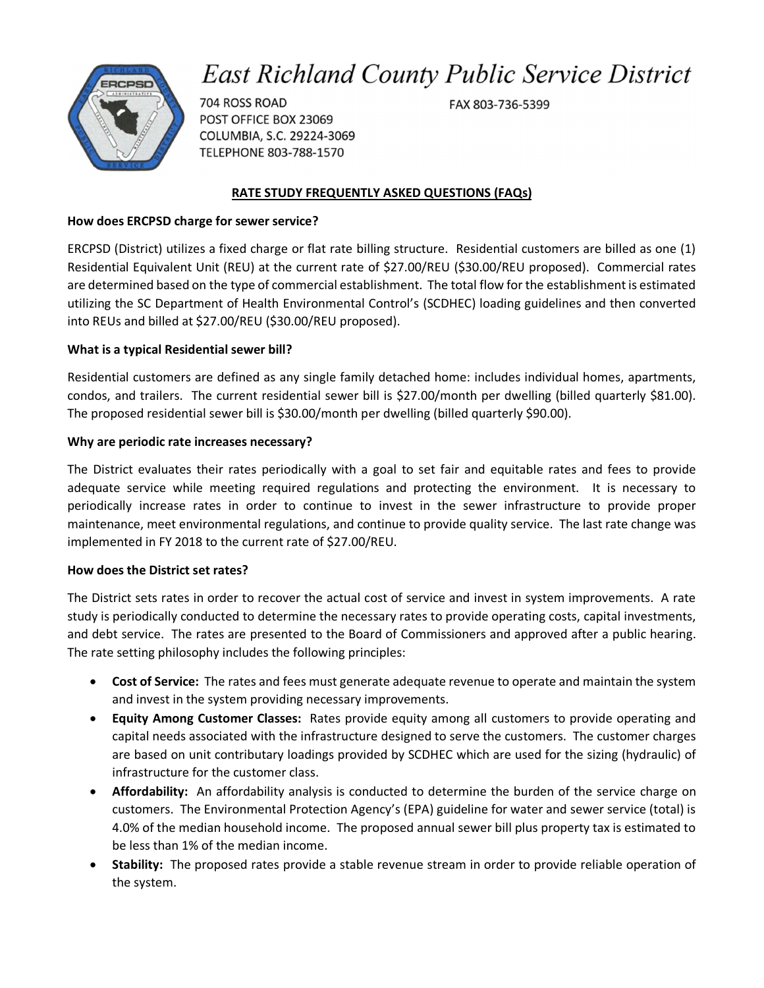# **East Richland County Public Service District**



704 ROSS ROAD POST OFFICE BOX 23069 COLUMBIA, S.C. 29224-3069 TELEPHONE 803-788-1570

### **RATE STUDY FREQUENTLY ASKED QUESTIONS (FAQs)**

#### **How does ERCPSD charge for sewer service?**

ERCPSD (District) utilizes a fixed charge or flat rate billing structure. Residential customers are billed as one (1) Residential Equivalent Unit (REU) at the current rate of \$27.00/REU (\$30.00/REU proposed). Commercial rates are determined based on the type of commercial establishment. The total flow for the establishment is estimated utilizing the SC Department of Health Environmental Control's (SCDHEC) loading guidelines and then converted into REUs and billed at \$27.00/REU (\$30.00/REU proposed).

### **What is a typical Residential sewer bill?**

Residential customers are defined as any single family detached home: includes individual homes, apartments, condos, and trailers. The current residential sewer bill is \$27.00/month per dwelling (billed quarterly \$81.00). The proposed residential sewer bill is \$30.00/month per dwelling (billed quarterly \$90.00).

### **Why are periodic rate increases necessary?**

The District evaluates their rates periodically with a goal to set fair and equitable rates and fees to provide adequate service while meeting required regulations and protecting the environment. It is necessary to periodically increase rates in order to continue to invest in the sewer infrastructure to provide proper maintenance, meet environmental regulations, and continue to provide quality service. The last rate change was implemented in FY 2018 to the current rate of \$27.00/REU.

### **How does the District set rates?**

The District sets rates in order to recover the actual cost of service and invest in system improvements. A rate study is periodically conducted to determine the necessary rates to provide operating costs, capital investments, and debt service. The rates are presented to the Board of Commissioners and approved after a public hearing. The rate setting philosophy includes the following principles:

- **Cost of Service:** The rates and fees must generate adequate revenue to operate and maintain the system and invest in the system providing necessary improvements.
- **Equity Among Customer Classes:** Rates provide equity among all customers to provide operating and capital needs associated with the infrastructure designed to serve the customers. The customer charges are based on unit contributary loadings provided by SCDHEC which are used for the sizing (hydraulic) of infrastructure for the customer class.
- **Affordability:** An affordability analysis is conducted to determine the burden of the service charge on customers. The Environmental Protection Agency's (EPA) guideline for water and sewer service (total) is 4.0% of the median household income. The proposed annual sewer bill plus property tax is estimated to be less than 1% of the median income.
- **Stability:** The proposed rates provide a stable revenue stream in order to provide reliable operation of the system.

FAX 803-736-5399